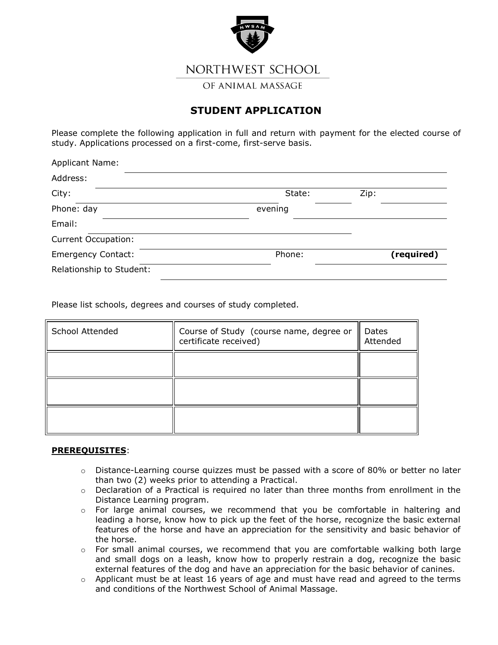

NORTHWEST SCHOOL

OF ANIMAL MASSAGE

## **STUDENT APPLICATION**

Please complete the following application in full and return with payment for the elected course of study. Applications processed on a first-come, first-serve basis.

| <b>Applicant Name:</b>     |         |            |
|----------------------------|---------|------------|
| Address:                   |         |            |
| City:                      | State:  | Zip:       |
| Phone: day                 | evening |            |
| Email:                     |         |            |
| <b>Current Occupation:</b> |         |            |
| <b>Emergency Contact:</b>  | Phone:  | (required) |
| Relationship to Student:   |         |            |

Please list schools, degrees and courses of study completed.

| School Attended | Course of Study (course name, degree or<br>certificate received) | Dates<br>Attended |
|-----------------|------------------------------------------------------------------|-------------------|
|                 |                                                                  |                   |
|                 |                                                                  |                   |
|                 |                                                                  |                   |

## **PREREQUISITES**:

- $\circ$  Distance-Learning course quizzes must be passed with a score of 80% or better no later than two (2) weeks prior to attending a Practical.
- $\circ$  Declaration of a Practical is required no later than three months from enrollment in the Distance Learning program.
- o For large animal courses, we recommend that you be comfortable in haltering and leading a horse, know how to pick up the feet of the horse, recognize the basic external features of the horse and have an appreciation for the sensitivity and basic behavior of the horse.
- $\circ$  For small animal courses, we recommend that you are comfortable walking both large and small dogs on a leash, know how to properly restrain a dog, recognize the basic external features of the dog and have an appreciation for the basic behavior of canines.
- $\circ$  Applicant must be at least 16 years of age and must have read and agreed to the terms and conditions of the Northwest School of Animal Massage.